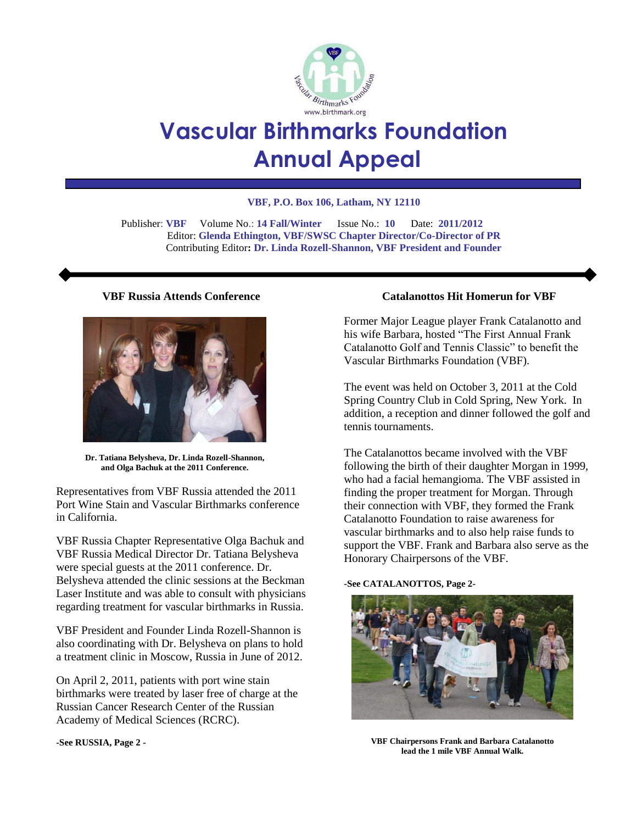

# **Vascular Birthmarks Foundation Annual Appeal**

#### **VBF, P.O. Box 106, Latham, NY 12110**

 Publisher: **VBF** Volume No.: **14 Fall/Winter** Issue No.: **10** Date: **2011/2012** Editor: **Glenda Ethington, VBF/SWSC Chapter Director/Co-Director of PR** Contributing Editor**: Dr. Linda Rozell-Shannon, VBF President and Founder**

#### **VBF Russia Attends Conference**



**Dr. Tatiana Belysheva, Dr. Linda Rozell-Shannon, and Olga Bachuk at the 2011 Conference.**

Representatives from VBF Russia attended the 2011 Port Wine Stain and Vascular Birthmarks conference in California.

VBF Russia Chapter Representative Olga Bachuk and VBF Russia Medical Director Dr. Tatiana Belysheva were special guests at the 2011 conference. Dr. Belysheva attended the clinic sessions at the Beckman Laser Institute and was able to consult with physicians regarding treatment for vascular birthmarks in Russia.

VBF President and Founder Linda Rozell-Shannon is also coordinating with Dr. Belysheva on plans to hold a treatment clinic in Moscow, Russia in June of 2012.

On April 2, 2011, patients with port wine stain birthmarks were treated by laser free of charge at the Russian Cancer Research Center of the Russian Academy of Medical Sciences (RCRC).

**-See RUSSIA, Page 2 -**

## **Catalanottos Hit Homerun for VBF**

Former Major League player Frank Catalanotto and his wife Barbara, hosted "The First Annual Frank Catalanotto Golf and Tennis Classic" to benefit the Vascular Birthmarks Foundation (VBF).

The event was held on October 3, 2011 at the Cold Spring Country Club in Cold Spring, New York. In addition, a reception and dinner followed the golf and tennis tournaments.

The Catalanottos became involved with the VBF following the birth of their daughter Morgan in 1999, who had a facial hemangioma. The VBF assisted in finding the proper treatment for Morgan. Through their connection with VBF, they formed the Frank Catalanotto Foundation to raise awareness for vascular birthmarks and to also help raise funds to support the VBF. Frank and Barbara also serve as the Honorary Chairpersons of the VBF.

#### **-See CATALANOTTOS, Page 2-**



**VBF Chairpersons Frank and Barbara Catalanotto lead the 1 mile VBF Annual Walk.**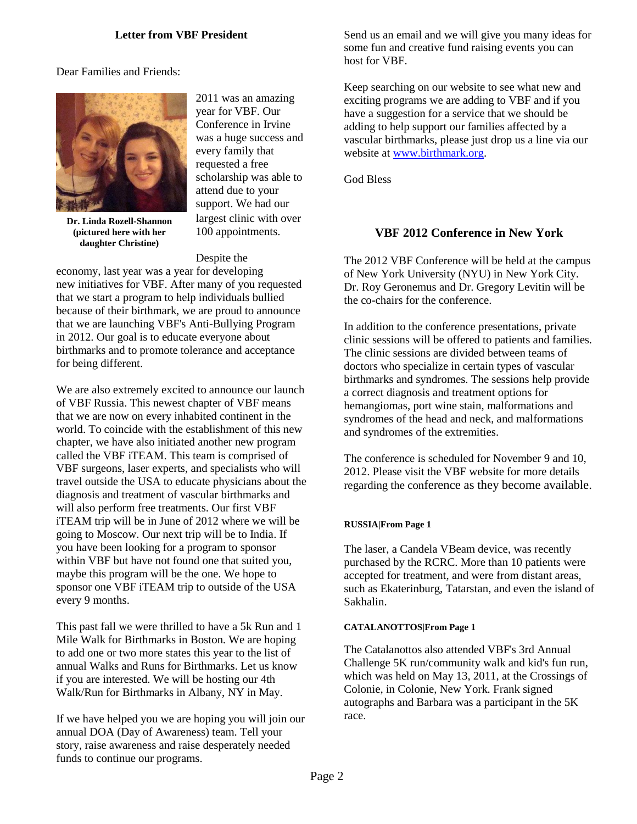## **Letter from VBF President**

Dear Families and Friends:



2011 was an amazing year for VBF. Our Conference in Irvine was a huge success and every family that requested a free scholarship was able to attend due to your support. We had our largest clinic with over 100 appointments.

**Dr. Linda Rozell-Shannon (pictured here with her daughter Christine)**

Despite the economy, last year was a year for developing new initiatives for VBF. After many of you requested that we start a program to help individuals bullied because of their birthmark, we are proud to announce that we are launching VBF's Anti-Bullying Program in 2012. Our goal is to educate everyone about birthmarks and to promote tolerance and acceptance for being different.

We are also extremely excited to announce our launch of VBF Russia. This newest chapter of VBF means that we are now on every inhabited continent in the world. To coincide with the establishment of this new chapter, we have also initiated another new program called the VBF iTEAM. This team is comprised of VBF surgeons, laser experts, and specialists who will travel outside the USA to educate physicians about the diagnosis and treatment of vascular birthmarks and will also perform free treatments. Our first VBF iTEAM trip will be in June of 2012 where we will be going to Moscow. Our next trip will be to India. If you have been looking for a program to sponsor within VBF but have not found one that suited you, maybe this program will be the one. We hope to sponsor one VBF iTEAM trip to outside of the USA every 9 months.

This past fall we were thrilled to have a 5k Run and 1 Mile Walk for Birthmarks in Boston. We are hoping to add one or two more states this year to the list of annual Walks and Runs for Birthmarks. Let us know if you are interested. We will be hosting our 4th Walk/Run for Birthmarks in Albany, NY in May.

If we have helped you we are hoping you will join our annual DOA (Day of Awareness) team. Tell your story, raise awareness and raise desperately needed funds to continue our programs.

Send us an email and we will give you many ideas for some fun and creative fund raising events you can host for VBF.

Keep searching on our website to see what new and exciting programs we are adding to VBF and if you have a suggestion for a service that we should be adding to help support our families affected by a vascular birthmarks, please just drop us a line via our website at [www.birthmark.org.](http://www.birthmark.org/)

God Bless

# **VBF 2012 Conference in New York**

The 2012 VBF Conference will be held at the campus of New York University (NYU) in New York City. Dr. Roy Geronemus and Dr. Gregory Levitin will be the co-chairs for the conference.

In addition to the conference presentations, private clinic sessions will be offered to patients and families. The clinic sessions are divided between teams of doctors who specialize in certain types of vascular birthmarks and syndromes. The sessions help provide a correct diagnosis and treatment options for hemangiomas, port wine stain, malformations and syndromes of the head and neck, and malformations and syndromes of the extremities.

The conference is scheduled for November 9 and 10, 2012. Please visit the VBF website for more details regarding the conference as they become available.

#### **RUSSIA|From Page 1**

The laser, a Candela VBeam device, was recently purchased by the RCRC. More than 10 patients were accepted for treatment, and were from distant areas, such as Ekaterinburg, Tatarstan, and even the island of Sakhalin.

#### **CATALANOTTOS|From Page 1**

The Catalanottos also attended VBF's 3rd Annual Challenge 5K run/community walk and kid's fun run, which was held on May 13, 2011, at the Crossings of Colonie, in Colonie, New York. Frank signed autographs and Barbara was a participant in the 5K race.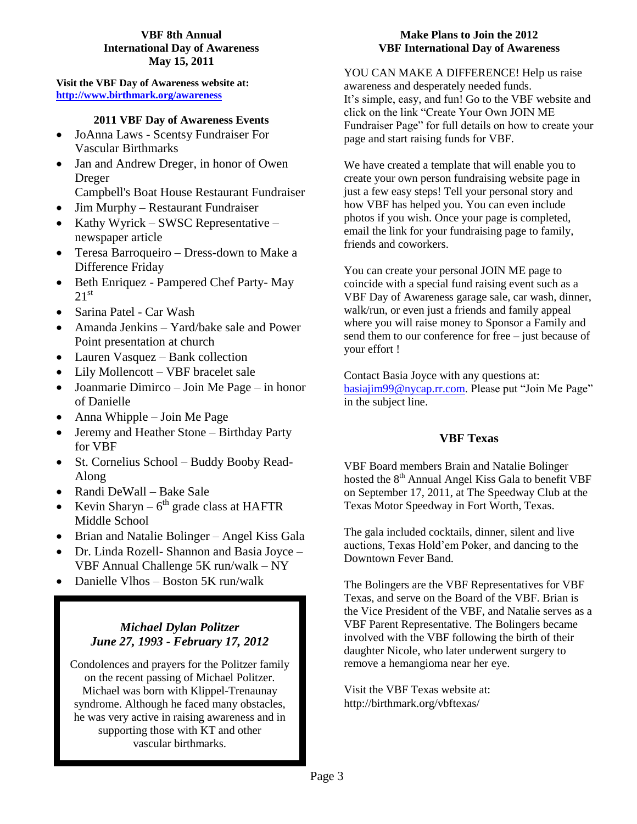## **VBF 8th Annual International Day of Awareness May 15, 2011**

**Visit the VBF Day of Awareness website at: <http://www.birthmark.org/awareness>**

# **2011 VBF Day of Awareness Events**

- JoAnna Laws Scentsy Fundraiser For Vascular Birthmarks
- Jan and Andrew Dreger, in honor of Owen Dreger Campbell's Boat House Restaurant Fundraiser
- Jim Murphy Restaurant Fundraiser
- Kathy Wyrick SWSC Representative newspaper article
- Teresa Barroqueiro Dress-down to Make a Difference Friday
- Beth Enriquez Pampered Chef Party- May  $21^{st}$
- Sarina Patel Car Wash
- Amanda Jenkins Yard/bake sale and Power Point presentation at church
- Lauren Vasquez Bank collection
- Lily Mollencott VBF bracelet sale
- Joanmarie Dimirco Join Me Page in honor of Danielle
- Anna Whipple Join Me Page
- Jeremy and Heather Stone Birthday Party for VBF
- St. Cornelius School Buddy Booby Read-Along
- Randi DeWall Bake Sale
- Kevin Sharyn  $6<sup>th</sup>$  grade class at HAFTR Middle School
- Brian and Natalie Bolinger Angel Kiss Gala
- Dr. Linda Rozell- Shannon and Basia Joyce VBF Annual Challenge 5K run/walk – NY
- Danielle Vlhos Boston 5K run/walk

# *Michael Dylan Politzer June 27, 1993 - February 17, 2012*

Condolences and prayers for the Politzer family on the recent passing of Michael Politzer. Michael was born with Klippel-Trenaunay syndrome. Although he faced many obstacles, he was very active in raising awareness and in supporting those with KT and other vascular birthmarks.

#### **Make Plans to Join the 2012 VBF International Day of Awareness**

YOU CAN MAKE A DIFFERENCE! Help us raise awareness and desperately needed funds. It's simple, easy, and fun! Go to the VBF website and click on the link "Create Your Own JOIN ME Fundraiser Page" for full details on how to create your page and start raising funds for VBF.

We have created a template that will enable you to create your own person fundraising website page in just a few easy steps! Tell your personal story and how VBF has helped you. You can even include photos if you wish. Once your page is completed, email the link for your fundraising page to family, friends and coworkers.

You can create your personal JOIN ME page to coincide with a special fund raising event such as a VBF Day of Awareness garage sale, car wash, dinner, walk/run, or even just a friends and family appeal where you will raise money to Sponsor a Family and send them to our conference for free – just because of your effort !

Contact Basia Joyce with any questions at: [basiajim99@nycap.rr.com.](mailto:basiajim99@nycap.rr.com) Please put "Join Me Page" in the subject line.

# **VBF Texas**

VBF Board members Brain and Natalie Bolinger hosted the  $8<sup>th</sup>$  Annual Angel Kiss Gala to benefit VBF on September 17, 2011, at The Speedway Club at the Texas Motor Speedway in Fort Worth, Texas.

The gala included cocktails, dinner, silent and live auctions, Texas Hold'em Poker, and dancing to the Downtown Fever Band.

The Bolingers are the VBF Representatives for VBF Texas, and serve on the Board of the VBF. Brian is the Vice President of the VBF, and Natalie serves as a VBF Parent Representative. The Bolingers became involved with the VBF following the birth of their daughter Nicole, who later underwent surgery to remove a hemangioma near her eye.

Visit the VBF Texas website at: http://birthmark.org/vbftexas/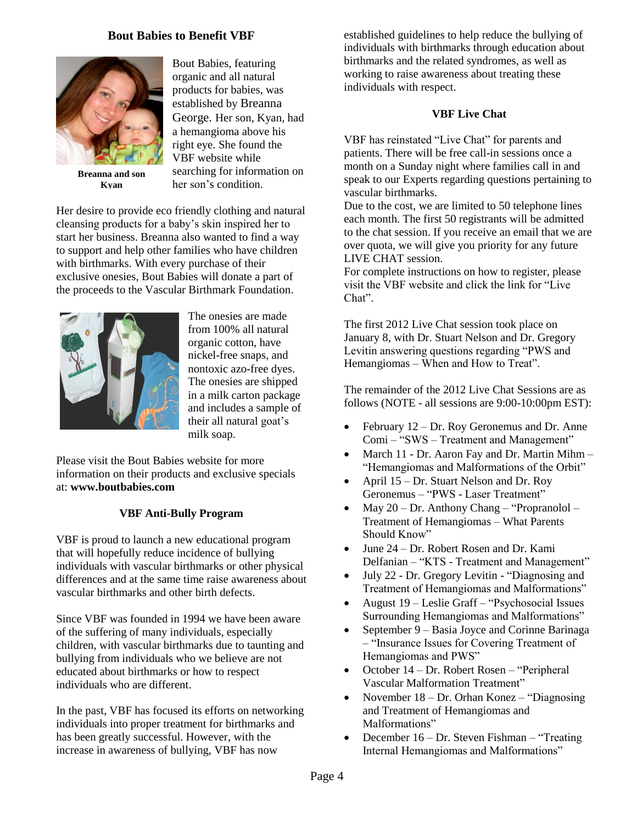# **Bout Babies to Benefit VBF**



**Breanna and son Kyan**

Bout Babies, featuring organic and all natural products for babies, was established by Breanna George. Her son, Kyan, had a hemangioma above his right eye. She found the VBF website while searching for information on her son's condition.

Her desire to provide eco friendly clothing and natural cleansing products for a baby's skin inspired her to start her business. Breanna also wanted to find a way to support and help other families who have children with birthmarks. With every purchase of their exclusive onesies, Bout Babies will donate a part of the proceeds to the Vascular Birthmark Foundation.



The onesies are made from 100% all natural organic cotton, have nickel-free snaps, and nontoxic azo-free dyes. The onesies are shipped in a milk carton package and includes a sample of their all natural goat's milk soap.

Please visit the Bout Babies website for more information on their products and exclusive specials at: **www.boutbabies.com**

## **VBF Anti-Bully Program**

VBF is proud to launch a new educational program that will hopefully reduce incidence of bullying individuals with vascular birthmarks or other physical differences and at the same time raise awareness about vascular birthmarks and other birth defects.

Since VBF was founded in 1994 we have been aware of the suffering of many individuals, especially children, with vascular birthmarks due to taunting and bullying from individuals who we believe are not educated about birthmarks or how to respect individuals who are different.

In the past, VBF has focused its efforts on networking individuals into proper treatment for birthmarks and has been greatly successful. However, with the increase in awareness of bullying, VBF has now

established guidelines to help reduce the bullying of individuals with birthmarks through education about birthmarks and the related syndromes, as well as working to raise awareness about treating these individuals with respect.

# **VBF Live Chat**

VBF has reinstated "Live Chat" for parents and patients. There will be free call-in sessions once a month on a Sunday night where families call in and speak to our Experts regarding questions pertaining to vascular birthmarks.

Due to the cost, we are limited to 50 telephone lines each month. The first 50 registrants will be admitted to the chat session. If you receive an email that we are over quota, we will give you priority for any future LIVE CHAT session.

For complete instructions on how to register, please visit the VBF website and click the link for "Live Chat".

The first 2012 Live Chat session took place on January 8, with Dr. Stuart Nelson and Dr. Gregory Levitin answering questions regarding "PWS and Hemangiomas – When and How to Treat".

The remainder of the 2012 Live Chat Sessions are as follows (NOTE - all sessions are 9:00-10:00pm EST):

- February 12 Dr. Roy Geronemus and Dr. Anne Comi – "SWS – Treatment and Management"
- March 11 Dr. Aaron Fay and Dr. Martin Mihm "Hemangiomas and Malformations of the Orbit"
- April 15 Dr. Stuart Nelson and Dr. Roy Geronemus – "PWS - Laser Treatment"
- May 20 Dr. Anthony Chang "Propranolol Treatment of Hemangiomas – What Parents Should Know"
- June 24 Dr. Robert Rosen and Dr. Kami Delfanian – "KTS - Treatment and Management"
- July 22 Dr. Gregory Levitin "Diagnosing and Treatment of Hemangiomas and Malformations"
- August 19 Leslie Graff "Psychosocial Issues Surrounding Hemangiomas and Malformations"
- September 9 Basia Joyce and Corinne Barinaga – "Insurance Issues for Covering Treatment of Hemangiomas and PWS"
- October 14 Dr. Robert Rosen "Peripheral Vascular Malformation Treatment"
- November 18 Dr. Orhan Konez "Diagnosing and Treatment of Hemangiomas and Malformations"
- December 16 Dr. Steven Fishman "Treating Internal Hemangiomas and Malformations"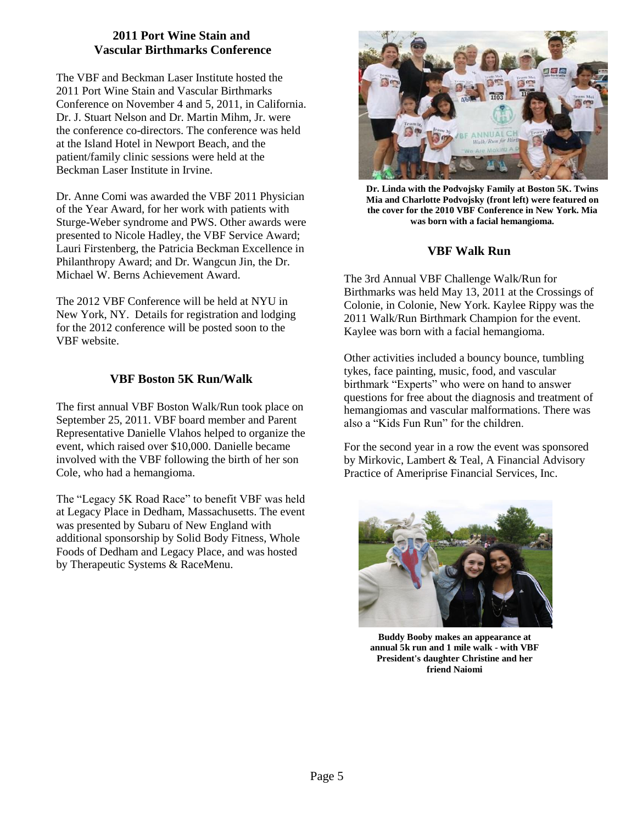# **2011 Port Wine Stain and Vascular Birthmarks Conference**

The VBF and Beckman Laser Institute hosted the 2011 Port Wine Stain and Vascular Birthmarks Conference on November 4 and 5, 2011, in California. Dr. J. Stuart Nelson and Dr. Martin Mihm, Jr. were the conference co-directors. The conference was held at the Island Hotel in Newport Beach, and the patient/family clinic sessions were held at the Beckman Laser Institute in Irvine.

Dr. Anne Comi was awarded the VBF 2011 Physician of the Year Award, for her work with patients with Sturge-Weber syndrome and PWS. Other awards were presented to Nicole Hadley, the VBF Service Award; Lauri Firstenberg, the Patricia Beckman Excellence in Philanthropy Award; and Dr. Wangcun Jin, the Dr. Michael W. Berns Achievement Award.

The 2012 VBF Conference will be held at NYU in New York, NY. Details for registration and lodging for the 2012 conference will be posted soon to the VBF website.

# **VBF Boston 5K Run/Walk**

The first annual VBF Boston Walk/Run took place on September 25, 2011. VBF board member and Parent Representative Danielle Vlahos helped to organize the event, which raised over \$10,000. Danielle became involved with the VBF following the birth of her son Cole, who had a hemangioma.

The "Legacy 5K Road Race" to benefit VBF was held at Legacy Place in Dedham, Massachusetts. The event was presented by Subaru of New England with additional sponsorship by Solid Body Fitness, Whole Foods of Dedham and Legacy Place, and was hosted by Therapeutic Systems & RaceMenu.



**Dr. Linda with the Podvojsky Family at Boston 5K. Twins Mia and Charlotte Podvojsky (front left) were featured on the cover for the 2010 VBF Conference in New York. Mia was born with a facial hemangioma.**

# **VBF Walk Run**

The 3rd Annual VBF Challenge Walk/Run for Birthmarks was held May 13, 2011 at the Crossings of Colonie, in Colonie, New York. Kaylee Rippy was the 2011 Walk/Run Birthmark Champion for the event. Kaylee was born with a facial hemangioma.

Other activities included a bouncy bounce, tumbling tykes, face painting, music, food, and vascular birthmark "Experts" who were on hand to answer questions for free about the diagnosis and treatment of hemangiomas and vascular malformations. There was also a "Kids Fun Run" for the children.

For the second year in a row the event was sponsored by Mirkovic, Lambert & Teal, A Financial Advisory Practice of Ameriprise Financial Services, Inc.



**Buddy Booby makes an appearance at annual 5k run and 1 mile walk - with VBF President's daughter Christine and her friend Naiomi**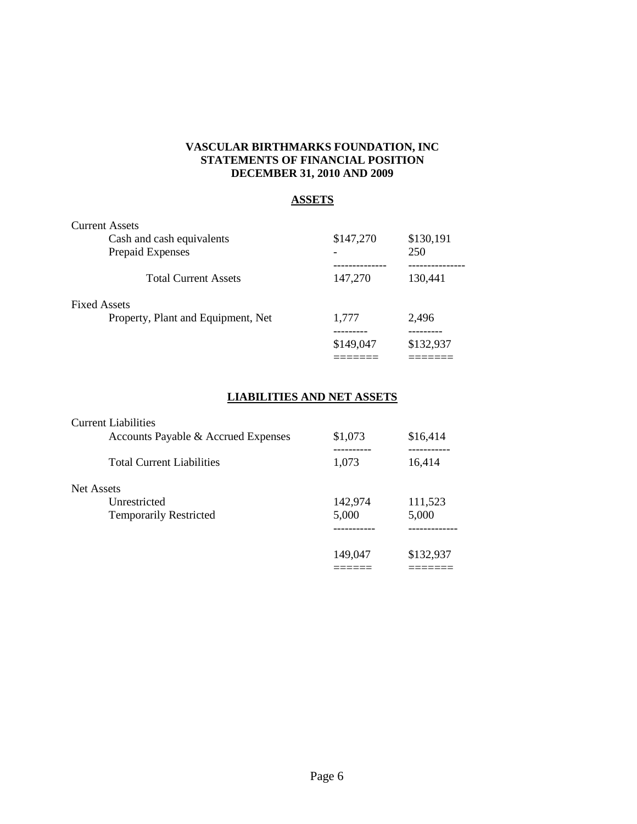# **VASCULAR BIRTHMARKS FOUNDATION, INC STATEMENTS OF FINANCIAL POSITION DECEMBER 31, 2010 AND 2009**

# **ASSETS**

| <b>Current Assets</b>              |           |           |
|------------------------------------|-----------|-----------|
| Cash and cash equivalents          | \$147,270 | \$130,191 |
| Prepaid Expenses                   |           | 250       |
| <b>Total Current Assets</b>        | 147,270   | 130,441   |
| <b>Fixed Assets</b>                |           |           |
| Property, Plant and Equipment, Net | 1,777     | 2,496     |
|                                    | \$149,047 | \$132,937 |
|                                    |           |           |

# **LIABILITIES AND NET ASSETS**

| <b>Current Liabilities</b>          |         |           |
|-------------------------------------|---------|-----------|
| Accounts Payable & Accrued Expenses | \$1,073 | \$16,414  |
| <b>Total Current Liabilities</b>    | 1,073   | 16,414    |
| Net Assets                          |         |           |
| Unrestricted                        | 142,974 | 111,523   |
| <b>Temporarily Restricted</b>       | 5,000   | 5,000     |
|                                     |         |           |
|                                     | 149,047 | \$132,937 |
|                                     |         |           |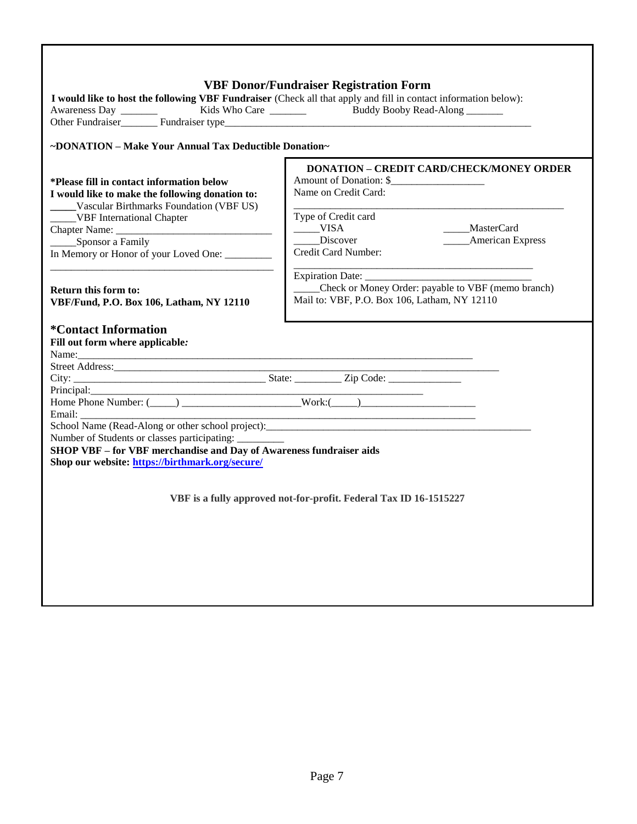|                                                                                                                 | <b>VBF Donor/Fundraiser Registration Form</b>      |                         |  |  |
|-----------------------------------------------------------------------------------------------------------------|----------------------------------------------------|-------------------------|--|--|
| I would like to host the following VBF Fundraiser (Check all that apply and fill in contact information below): |                                                    |                         |  |  |
|                                                                                                                 |                                                    |                         |  |  |
|                                                                                                                 |                                                    |                         |  |  |
| ~DONATION - Make Your Annual Tax Deductible Donation~                                                           |                                                    |                         |  |  |
|                                                                                                                 | <b>DONATION - CREDIT CARD/CHECK/MONEY ORDER</b>    |                         |  |  |
| *Please fill in contact information below                                                                       | Amount of Donation: \$                             |                         |  |  |
| I would like to make the following donation to:                                                                 | Name on Credit Card:                               |                         |  |  |
| Vascular Birthmarks Foundation (VBF US)                                                                         |                                                    |                         |  |  |
| _____VBF International Chapter                                                                                  | Type of Credit card<br>$_{\_\_}$ VISA              | ____MasterCard          |  |  |
| ______Sponsor a Family                                                                                          | ____Discover                                       | <b>American Express</b> |  |  |
| In Memory or Honor of your Loved One: _________                                                                 | Credit Card Number:                                |                         |  |  |
|                                                                                                                 |                                                    |                         |  |  |
|                                                                                                                 |                                                    |                         |  |  |
| <b>Return this form to:</b>                                                                                     | Check or Money Order: payable to VBF (memo branch) |                         |  |  |
| VBF/Fund, P.O. Box 106, Latham, NY 12110                                                                        | Mail to: VBF, P.O. Box 106, Latham, NY 12110       |                         |  |  |
|                                                                                                                 |                                                    |                         |  |  |
| <i><b>*Contact Information</b></i>                                                                              |                                                    |                         |  |  |
| Fill out form where applicable:                                                                                 |                                                    |                         |  |  |
|                                                                                                                 |                                                    |                         |  |  |
|                                                                                                                 |                                                    |                         |  |  |
|                                                                                                                 |                                                    |                         |  |  |
| Principal:                                                                                                      |                                                    |                         |  |  |
| Email:                                                                                                          |                                                    |                         |  |  |
|                                                                                                                 |                                                    |                         |  |  |
| Number of Students or classes participating: _________                                                          |                                                    |                         |  |  |
| SHOP VBF - for VBF merchandise and Day of Awareness fundraiser aids                                             |                                                    |                         |  |  |
| Shop our website: https://birthmark.org/secure/                                                                 |                                                    |                         |  |  |
|                                                                                                                 |                                                    |                         |  |  |
|                                                                                                                 |                                                    |                         |  |  |
| VBF is a fully approved not-for-profit. Federal Tax ID 16-1515227                                               |                                                    |                         |  |  |
|                                                                                                                 |                                                    |                         |  |  |
|                                                                                                                 |                                                    |                         |  |  |
|                                                                                                                 |                                                    |                         |  |  |
|                                                                                                                 |                                                    |                         |  |  |
|                                                                                                                 |                                                    |                         |  |  |